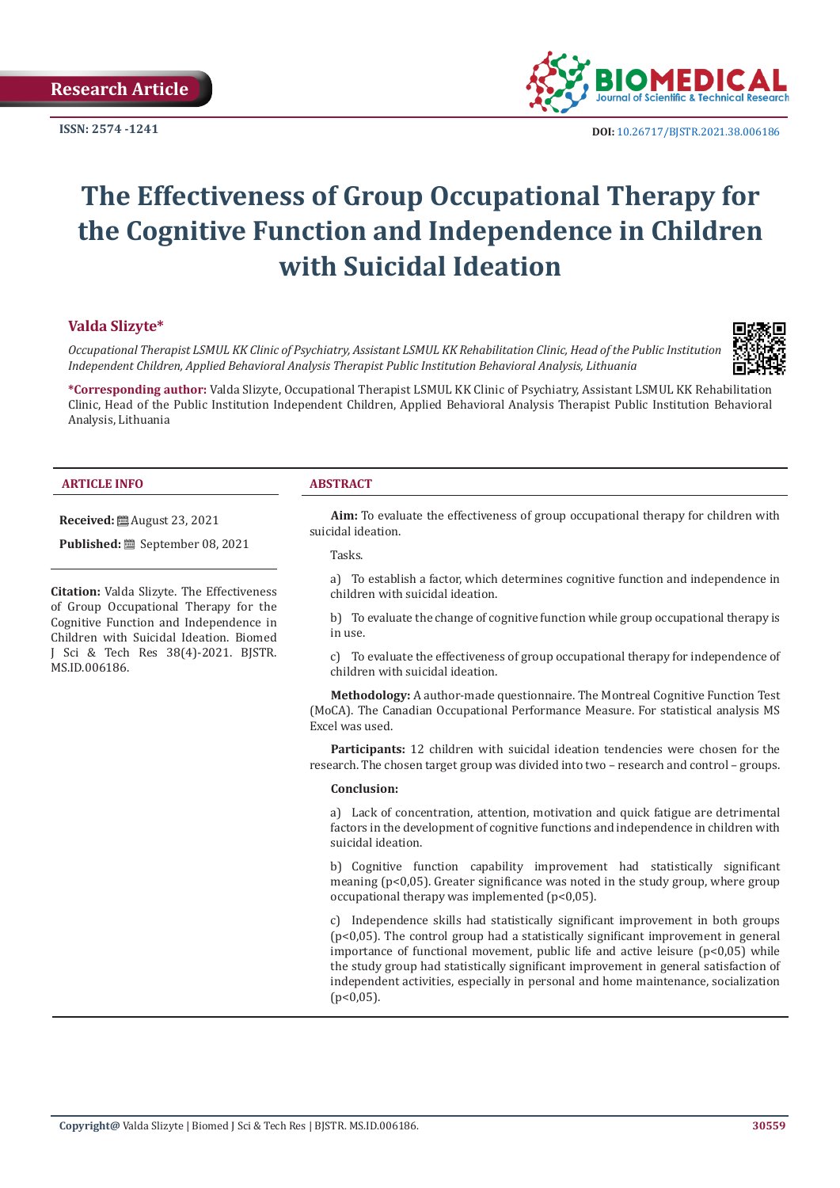**ISSN: 2574 -1241**



 **DOI:** [10.26717/BJSTR.2021.38.006186](https://dx.doi.org/10.26717/BJSTR.2021.38.006186)

# **The Effectiveness of Group Occupational Therapy for the Cognitive Function and Independence in Children with Suicidal Ideation**

#### **Valda Slizyte\***

*Occupational Therapist LSMUL KK Clinic of Psychiatry, Assistant LSMUL KK Rehabilitation Clinic, Head of the Public Institution Independent Children, Applied Behavioral Analysis Therapist Public Institution Behavioral Analysis, Lithuania*



**\*Corresponding author:** Valda Slizyte, Occupational Therapist LSMUL KK Clinic of Psychiatry, Assistant LSMUL KK Rehabilitation Clinic, Head of the Public Institution Independent Children, Applied Behavioral Analysis Therapist Public Institution Behavioral Analysis, Lithuania

#### **ARTICLE INFO ABSTRACT**

**Received:** August 23, 2021

Published: **iii** September 08, 2021

**Citation:** Valda Slizyte. The Effectiveness of Group Occupational Therapy for the Cognitive Function and Independence in Children with Suicidal Ideation. Biomed J Sci & Tech Res 38(4)-2021. BJSTR. MS.ID.006186.

**Aim:** To evaluate the effectiveness of group occupational therapy for children with suicidal ideation.

Tasks.

a) To establish a factor, which determines cognitive function and independence in children with suicidal ideation.

b) To evaluate the change of cognitive function while group occupational therapy is in use.

c) To evaluate the effectiveness of group occupational therapy for independence of children with suicidal ideation.

**Methodology:** A author-made questionnaire. The Montreal Cognitive Function Test (MoCA). The Canadian Occupational Performance Measure. For statistical analysis MS Excel was used.

**Participants:** 12 children with suicidal ideation tendencies were chosen for the research. The chosen target group was divided into two – research and control – groups.

#### **Conclusion:**

a) Lack of concentration, attention, motivation and quick fatigue are detrimental factors in the development of cognitive functions and independence in children with suicidal ideation.

b) Cognitive function capability improvement had statistically significant meaning (p<0,05). Greater significance was noted in the study group, where group occupational therapy was implemented (p<0,05).

c) Independence skills had statistically significant improvement in both groups (p<0,05). The control group had a statistically significant improvement in general importance of functional movement, public life and active leisure  $(p<0.05)$  while the study group had statistically significant improvement in general satisfaction of independent activities, especially in personal and home maintenance, socialization  $(p<0.05)$ .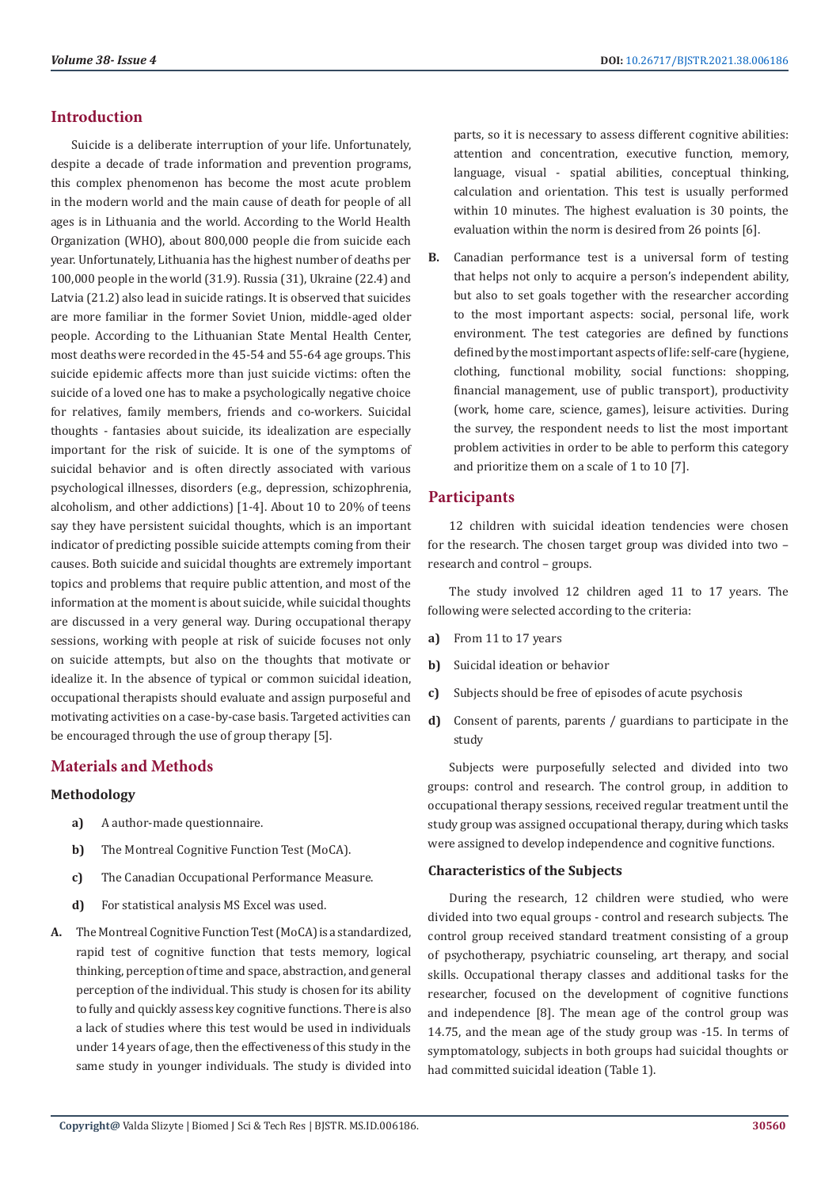### **Introduction**

Suicide is a deliberate interruption of your life. Unfortunately, despite a decade of trade information and prevention programs, this complex phenomenon has become the most acute problem in the modern world and the main cause of death for people of all ages is in Lithuania and the world. According to the World Health Organization (WHO), about 800,000 people die from suicide each year. Unfortunately, Lithuania has the highest number of deaths per 100,000 people in the world (31.9). Russia (31), Ukraine (22.4) and Latvia (21.2) also lead in suicide ratings. It is observed that suicides are more familiar in the former Soviet Union, middle-aged older people. According to the Lithuanian State Mental Health Center, most deaths were recorded in the 45-54 and 55-64 age groups. This suicide epidemic affects more than just suicide victims: often the suicide of a loved one has to make a psychologically negative choice for relatives, family members, friends and co-workers. Suicidal thoughts - fantasies about suicide, its idealization are especially important for the risk of suicide. It is one of the symptoms of suicidal behavior and is often directly associated with various psychological illnesses, disorders (e.g., depression, schizophrenia, alcoholism, and other addictions) [1-4]. About 10 to 20% of teens say they have persistent suicidal thoughts, which is an important indicator of predicting possible suicide attempts coming from their causes. Both suicide and suicidal thoughts are extremely important topics and problems that require public attention, and most of the information at the moment is about suicide, while suicidal thoughts are discussed in a very general way. During occupational therapy sessions, working with people at risk of suicide focuses not only on suicide attempts, but also on the thoughts that motivate or idealize it. In the absence of typical or common suicidal ideation, occupational therapists should evaluate and assign purposeful and motivating activities on a case-by-case basis. Targeted activities can be encouraged through the use of group therapy [5].

# **Materials and Methods**

#### **Methodology**

- **a)** A author-made questionnaire.
- **b)** The Montreal Cognitive Function Test (MoCA).
- **c)** The Canadian Occupational Performance Measure.
- **d)** For statistical analysis MS Excel was used.
- **A.** The Montreal Cognitive Function Test (MoCA) is a standardized, rapid test of cognitive function that tests memory, logical thinking, perception of time and space, abstraction, and general perception of the individual. This study is chosen for its ability to fully and quickly assess key cognitive functions. There is also a lack of studies where this test would be used in individuals under 14 years of age, then the effectiveness of this study in the same study in younger individuals. The study is divided into

parts, so it is necessary to assess different cognitive abilities: attention and concentration, executive function, memory, language, visual - spatial abilities, conceptual thinking, calculation and orientation. This test is usually performed within 10 minutes. The highest evaluation is 30 points, the evaluation within the norm is desired from 26 points [6].

**B.** Canadian performance test is a universal form of testing that helps not only to acquire a person's independent ability, but also to set goals together with the researcher according to the most important aspects: social, personal life, work environment. The test categories are defined by functions defined by the most important aspects of life: self-care (hygiene, clothing, functional mobility, social functions: shopping, financial management, use of public transport), productivity (work, home care, science, games), leisure activities. During the survey, the respondent needs to list the most important problem activities in order to be able to perform this category and prioritize them on a scale of 1 to 10 [7].

#### **Participants**

12 children with suicidal ideation tendencies were chosen for the research. The chosen target group was divided into two – research and control – groups.

The study involved 12 children aged 11 to 17 years. The following were selected according to the criteria:

- **a)** From 11 to 17 years
- **b)** Suicidal ideation or behavior
- **c)** Subjects should be free of episodes of acute psychosis
- **d)** Consent of parents, parents / guardians to participate in the study

Subjects were purposefully selected and divided into two groups: control and research. The control group, in addition to occupational therapy sessions, received regular treatment until the study group was assigned occupational therapy, during which tasks were assigned to develop independence and cognitive functions.

#### **Characteristics of the Subjects**

During the research, 12 children were studied, who were divided into two equal groups - control and research subjects. The control group received standard treatment consisting of a group of psychotherapy, psychiatric counseling, art therapy, and social skills. Occupational therapy classes and additional tasks for the researcher, focused on the development of cognitive functions and independence [8]. The mean age of the control group was 14.75, and the mean age of the study group was -15. In terms of symptomatology, subjects in both groups had suicidal thoughts or had committed suicidal ideation (Table 1).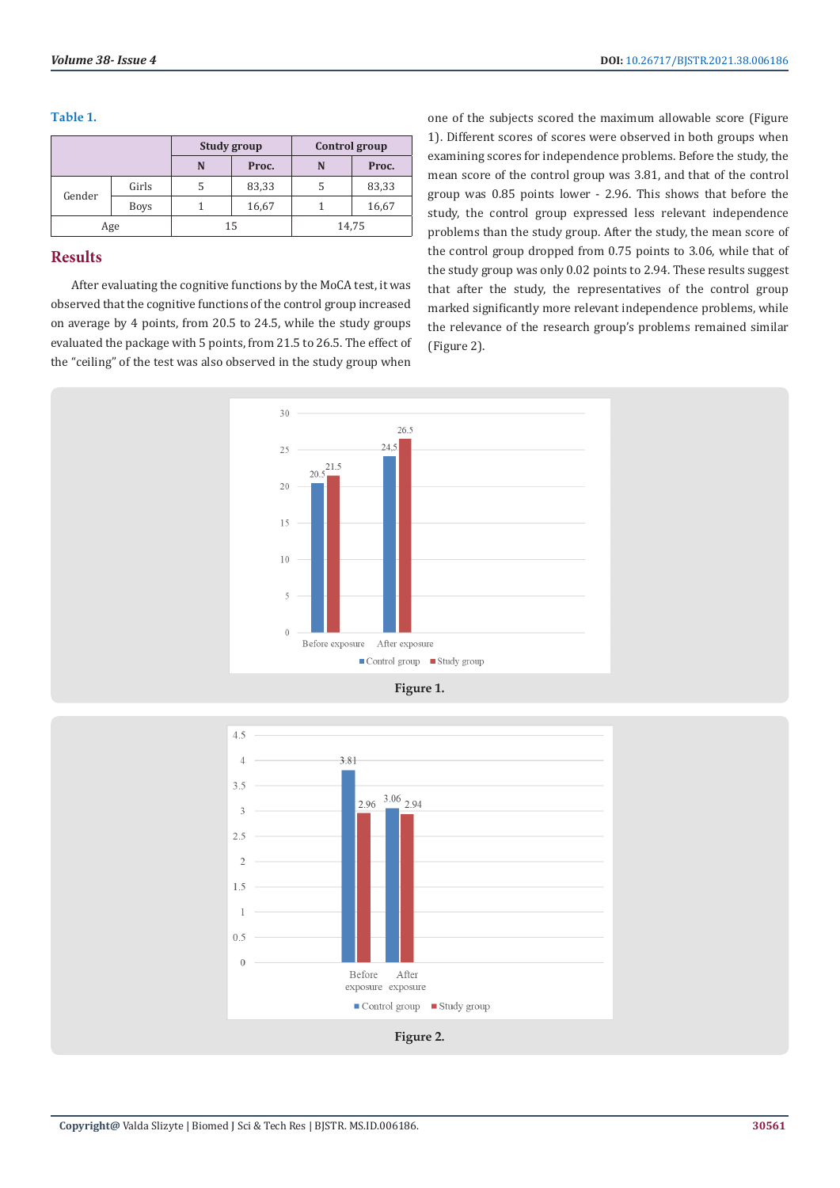**Table 1.**

|        |             | Study group |       | Control group |       |
|--------|-------------|-------------|-------|---------------|-------|
|        |             | N           | Proc. | N             | Proc. |
| Gender | Girls       |             | 83,33 | 5             | 83,33 |
|        | <b>Boys</b> |             | 16,67 |               | 16,67 |
| Age    |             | 15          |       | 14,75         |       |

# **Results**

After evaluating the cognitive functions by the MoCA test, it was observed that the cognitive functions of the control group increased on average by 4 points, from 20.5 to 24.5, while the study groups evaluated the package with 5 points, from 21.5 to 26.5. The effect of the "ceiling" of the test was also observed in the study group when

one of the subjects scored the maximum allowable score (Figure 1). Different scores of scores were observed in both groups when examining scores for independence problems. Before the study, the mean score of the control group was 3.81, and that of the control group was 0.85 points lower - 2.96. This shows that before the study, the control group expressed less relevant independence problems than the study group. After the study, the mean score of the control group dropped from 0.75 points to 3.06, while that of the study group was only 0.02 points to 2.94. These results suggest that after the study, the representatives of the control group marked significantly more relevant independence problems, while the relevance of the research group's problems remained similar (Figure 2).